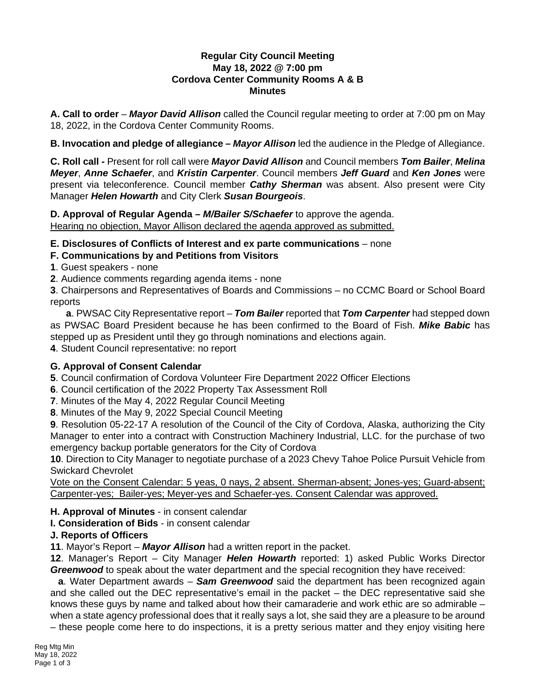## **Regular City Council Meeting May 18, 2022 @ 7:00 pm Cordova Center Community Rooms A & B Minutes**

**A. Call to order** – *Mayor David Allison* called the Council regular meeting to order at 7:00 pm on May 18, 2022, in the Cordova Center Community Rooms.

**B. Invocation and pledge of allegiance –** *Mayor Allison* led the audience in the Pledge of Allegiance.

**C. Roll call -** Present for roll call were *Mayor David Allison* and Council members *Tom Bailer*, *Melina Meyer*, *Anne Schaefer*, and *Kristin Carpenter*. Council members *Jeff Guard* and *Ken Jones* were present via teleconference. Council member *Cathy Sherman* was absent. Also present were City Manager *Helen Howarth* and City Clerk *Susan Bourgeois*.

**D. Approval of Regular Agenda –** *M/Bailer S/Schaefer* to approve the agenda. Hearing no objection, Mayor Allison declared the agenda approved as submitted.

## **E. Disclosures of Conflicts of Interest and ex parte communications** – none

## **F. Communications by and Petitions from Visitors**

**1**. Guest speakers - none

**2**. Audience comments regarding agenda items - none

**3**. Chairpersons and Representatives of Boards and Commissions – no CCMC Board or School Board reports

**a**. PWSAC City Representative report – *Tom Bailer* reported that *Tom Carpenter* had stepped down as PWSAC Board President because he has been confirmed to the Board of Fish. *Mike Babic* has stepped up as President until they go through nominations and elections again.

**4**. Student Council representative: no report

# **G. Approval of Consent Calendar**

**5**. Council confirmation of Cordova Volunteer Fire Department 2022 Officer Elections

**6**. Council certification of the 2022 Property Tax Assessment Roll

**7**. Minutes of the May 4, 2022 Regular Council Meeting

**8**. Minutes of the May 9, 2022 Special Council Meeting

**9**. Resolution 05-22-17 A resolution of the Council of the City of Cordova, Alaska, authorizing the City Manager to enter into a contract with Construction Machinery Industrial, LLC. for the purchase of two emergency backup portable generators for the City of Cordova

**10**. Direction to City Manager to negotiate purchase of a 2023 Chevy Tahoe Police Pursuit Vehicle from Swickard Chevrolet

Vote on the Consent Calendar: 5 yeas, 0 nays, 2 absent. Sherman-absent; Jones-yes; Guard-absent; Carpenter-yes; Bailer-yes; Meyer-yes and Schaefer-yes. Consent Calendar was approved.

# **H. Approval of Minutes** - in consent calendar

**I. Consideration of Bids** - in consent calendar

### **J. Reports of Officers**

**11**. Mayor's Report – *Mayor Allison* had a written report in the packet.

**12**. Manager's Report – City Manager *Helen Howarth* reported: 1) asked Public Works Director **Greenwood** to speak about the water department and the special recognition they have received:

**a**. Water Department awards – *Sam Greenwood* said the department has been recognized again and she called out the DEC representative's email in the packet – the DEC representative said she knows these guys by name and talked about how their camaraderie and work ethic are so admirable – when a state agency professional does that it really says a lot, she said they are a pleasure to be around

– these people come here to do inspections, it is a pretty serious matter and they enjoy visiting here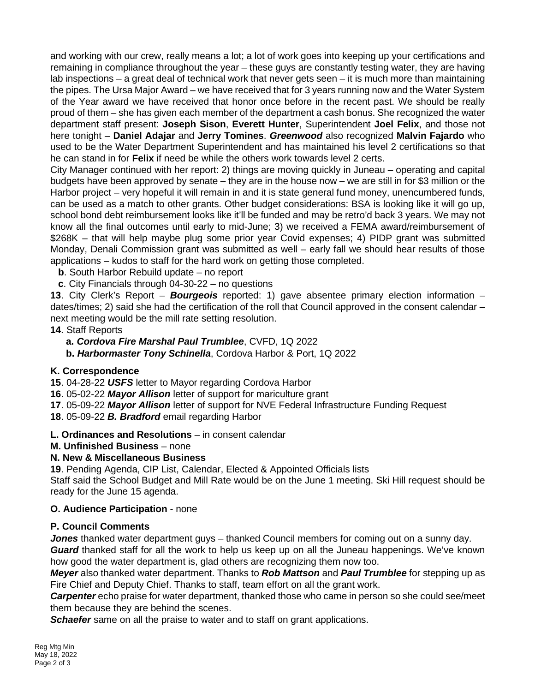and working with our crew, really means a lot; a lot of work goes into keeping up your certifications and remaining in compliance throughout the year – these guys are constantly testing water, they are having lab inspections – a great deal of technical work that never gets seen – it is much more than maintaining the pipes. The Ursa Major Award – we have received that for 3 years running now and the Water System of the Year award we have received that honor once before in the recent past. We should be really proud of them – she has given each member of the department a cash bonus. She recognized the water department staff present: **Joseph Sison**, **Everett Hunter**, Superintendent **Joel Felix**, and those not here tonight – **Daniel Adajar** and **Jerry Tomines**. *Greenwood* also recognized **Malvin Fajardo** who used to be the Water Department Superintendent and has maintained his level 2 certifications so that he can stand in for **Felix** if need be while the others work towards level 2 certs.

City Manager continued with her report: 2) things are moving quickly in Juneau – operating and capital budgets have been approved by senate – they are in the house now – we are still in for \$3 million or the Harbor project – very hopeful it will remain in and it is state general fund money, unencumbered funds, can be used as a match to other grants. Other budget considerations: BSA is looking like it will go up, school bond debt reimbursement looks like it'll be funded and may be retro'd back 3 years. We may not know all the final outcomes until early to mid-June; 3) we received a FEMA award/reimbursement of \$268K – that will help maybe plug some prior year Covid expenses; 4) PIDP grant was submitted Monday, Denali Commission grant was submitted as well – early fall we should hear results of those applications – kudos to staff for the hard work on getting those completed.

**b**. South Harbor Rebuild update – no report

**c**. City Financials through 04-30-22 – no questions

**13**. City Clerk's Report – *Bourgeois* reported: 1) gave absentee primary election information – dates/times; 2) said she had the certification of the roll that Council approved in the consent calendar next meeting would be the mill rate setting resolution.

### **14**. Staff Reports

**a.** *Cordova Fire Marshal Paul Trumblee*, CVFD, 1Q 2022

**b.** *Harbormaster Tony Schinella*, Cordova Harbor & Port, 1Q 2022

### **K. Correspondence**

**15**. 04-28-22 *USFS* letter to Mayor regarding Cordova Harbor

**16**. 05-02-22 *Mayor Allison* letter of support for mariculture grant

**17**. 05-09-22 *Mayor Allison* letter of support for NVE Federal Infrastructure Funding Request

**18**. 05-09-22 *B. Bradford* email regarding Harbor

**L. Ordinances and Resolutions** – in consent calendar

### **M. Unfinished Business** – none

# **N. New & Miscellaneous Business**

**19**. Pending Agenda, CIP List, Calendar, Elected & Appointed Officials lists

Staff said the School Budget and Mill Rate would be on the June 1 meeting. Ski Hill request should be ready for the June 15 agenda.

### **O. Audience Participation** - none

### **P. Council Comments**

*Jones* thanked water department guys – thanked Council members for coming out on a sunny day. *Guard* thanked staff for all the work to help us keep up on all the Juneau happenings. We've known how good the water department is, glad others are recognizing them now too.

*Meyer* also thanked water department. Thanks to *Rob Mattson* and *Paul Trumblee* for stepping up as Fire Chief and Deputy Chief. Thanks to staff, team effort on all the grant work.

*Carpenter* echo praise for water department, thanked those who came in person so she could see/meet them because they are behind the scenes.

**Schaefer** same on all the praise to water and to staff on grant applications.